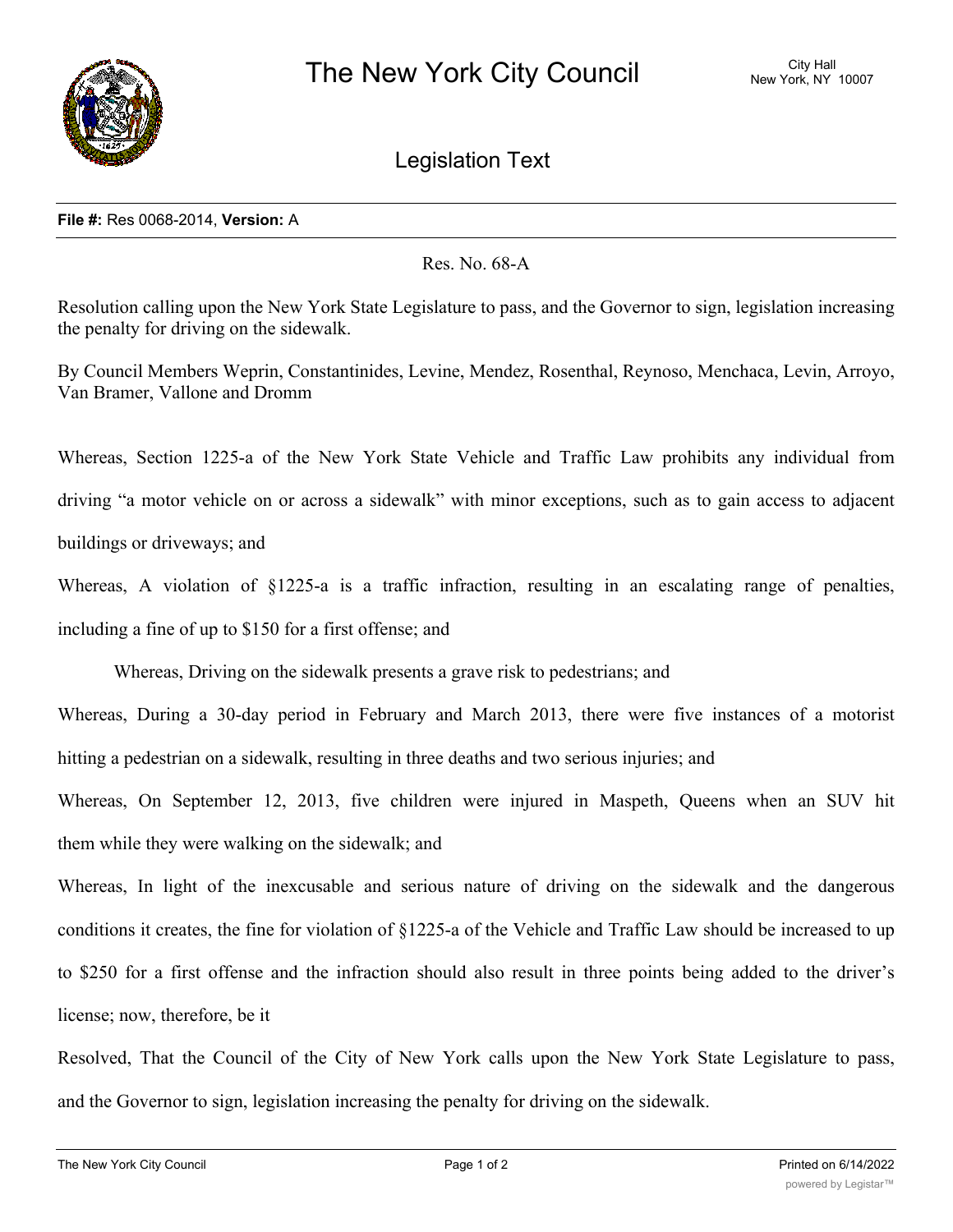

Legislation Text

## **File #:** Res 0068-2014, **Version:** A

Res. No. 68-A

Resolution calling upon the New York State Legislature to pass, and the Governor to sign, legislation increasing the penalty for driving on the sidewalk.

By Council Members Weprin, Constantinides, Levine, Mendez, Rosenthal, Reynoso, Menchaca, Levin, Arroyo, Van Bramer, Vallone and Dromm

Whereas, Section 1225-a of the New York State Vehicle and Traffic Law prohibits any individual from driving "a motor vehicle on or across a sidewalk" with minor exceptions, such as to gain access to adjacent buildings or driveways; and

Whereas, A violation of §1225-a is a traffic infraction, resulting in an escalating range of penalties, including a fine of up to \$150 for a first offense; and

Whereas, Driving on the sidewalk presents a grave risk to pedestrians; and

Whereas, During a 30-day period in February and March 2013, there were five instances of a motorist hitting a pedestrian on a sidewalk, resulting in three deaths and two serious injuries; and

Whereas, On September 12, 2013, five children were injured in Maspeth, Queens when an SUV hit them while they were walking on the sidewalk; and

Whereas, In light of the inexcusable and serious nature of driving on the sidewalk and the dangerous conditions it creates, the fine for violation of §1225-a of the Vehicle and Traffic Law should be increased to up to \$250 for a first offense and the infraction should also result in three points being added to the driver's license; now, therefore, be it

Resolved, That the Council of the City of New York calls upon the New York State Legislature to pass, and the Governor to sign, legislation increasing the penalty for driving on the sidewalk.